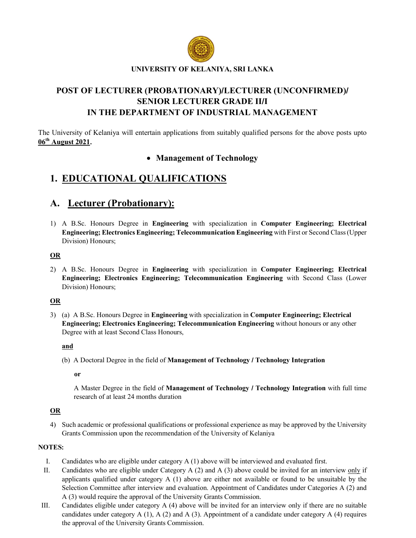

## UNIVERSITY OF KELANIYA, SRI LANKA

## POST OF LECTURER (PROBATIONARY)/LECTURER (UNCONFIRMED)/ SENIOR LECTURER GRADE II/I IN THE DEPARTMENT OF INDUSTRIAL MANAGEMENT

The University of Kelaniya will entertain applications from suitably qualified persons for the above posts upto 06th August 2021.

## • Management of Technology

# 1. EDUCATIONAL QUALIFICATIONS

## A. Lecturer (Probationary):

1) A B.Sc. Honours Degree in Engineering with specialization in Computer Engineering; Electrical Engineering; Electronics Engineering; Telecommunication Engineering with First or Second Class (Upper Division) Honours;

## OR

2) A B.Sc. Honours Degree in Engineering with specialization in Computer Engineering; Electrical Engineering; Electronics Engineering; Telecommunication Engineering with Second Class (Lower Division) Honours;

## OR

3) (a) A B.Sc. Honours Degree in Engineering with specialization in Computer Engineering; Electrical Engineering; Electronics Engineering; Telecommunication Engineering without honours or any other Degree with at least Second Class Honours,

## and

(b) A Doctoral Degree in the field of Management of Technology / Technology Integration

or

A Master Degree in the field of Management of Technology / Technology Integration with full time research of at least 24 months duration

## OR

4) Such academic or professional qualifications or professional experience as may be approved by the University Grants Commission upon the recommendation of the University of Kelaniya

## NOTES:

- I. Candidates who are eligible under category A (1) above will be interviewed and evaluated first.
- II. Candidates who are eligible under Category A (2) and A (3) above could be invited for an interview only if applicants qualified under category  $A(1)$  above are either not available or found to be unsuitable by the Selection Committee after interview and evaluation. Appointment of Candidates under Categories A (2) and A (3) would require the approval of the University Grants Commission.
- III. Candidates eligible under category A (4) above will be invited for an interview only if there are no suitable candidates under category A  $(1)$ , A  $(2)$  and A  $(3)$ . Appointment of a candidate under category A  $(4)$  requires the approval of the University Grants Commission.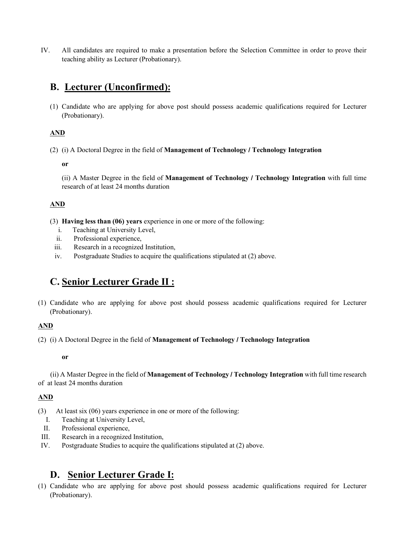IV. All candidates are required to make a presentation before the Selection Committee in order to prove their teaching ability as Lecturer (Probationary).

# B. Lecturer (Unconfirmed):

(1) Candidate who are applying for above post should possess academic qualifications required for Lecturer (Probationary).

## AND

(2) (i) A Doctoral Degree in the field of Management of Technology / Technology Integration

or

(ii) A Master Degree in the field of Management of Technology / Technology Integration with full time research of at least 24 months duration

## AND

- (3) Having less than (06) years experience in one or more of the following:
	- i. Teaching at University Level,
	- ii. Professional experience,
	- iii. Research in a recognized Institution,
	- iv. Postgraduate Studies to acquire the qualifications stipulated at (2) above.

## C. Senior Lecturer Grade II :

(1) Candidate who are applying for above post should possess academic qualifications required for Lecturer (Probationary).

## AND

(2) (i) A Doctoral Degree in the field of Management of Technology / Technology Integration

## or

 (ii) A Master Degree in the field of Management of Technology / Technology Integration with full time research of at least 24 months duration

## AND

- (3) At least six (06) years experience in one or more of the following:
	- I. Teaching at University Level,
	- II. Professional experience,
- III. Research in a recognized Institution,
- IV. Postgraduate Studies to acquire the qualifications stipulated at (2) above.

## D. Senior Lecturer Grade I:

(1) Candidate who are applying for above post should possess academic qualifications required for Lecturer (Probationary).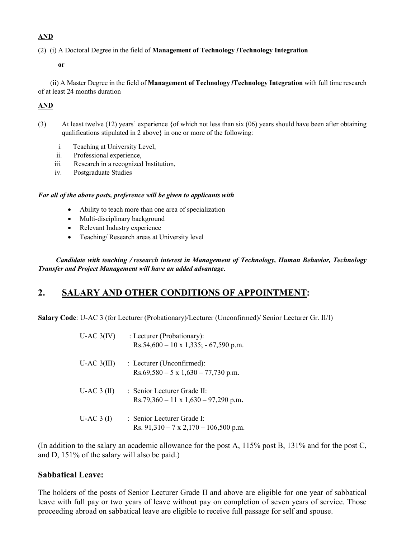## AND

(2) (i) A Doctoral Degree in the field of Management of Technology /Technology Integration

#### or

 (ii) A Master Degree in the field of Management of Technology /Technology Integration with full time research of at least 24 months duration

## AND

- (3) At least twelve (12) years' experience {of which not less than six (06) years should have been after obtaining qualifications stipulated in 2 above} in one or more of the following:
	- i. Teaching at University Level,
	- ii. Professional experience,
	- iii. Research in a recognized Institution,
	- iv. Postgraduate Studies

## *For all of the above posts, preference will be given to applicants with*

- Ability to teach more than one area of specialization
- Multi-disciplinary background
- Relevant Industry experience
- Teaching/ Research areas at University level

*Candidate with teaching* / *research interest in Management of Technology, Human Behavior, Technology Transfer and Project Management will have an added advantage*.

## 2. SALARY AND OTHER CONDITIONS OF APPOINTMENT:

Salary Code: U-AC 3 (for Lecturer (Probationary)/Lecturer (Unconfirmed)/ Senior Lecturer Gr. II/I)

| $U$ -AC $3(IV)$ | : Lecturer (Probationary):<br>$Rs.54,600 - 10 \times 1,335; -67,590 \text{ p.m.}$               |
|-----------------|-------------------------------------------------------------------------------------------------|
| $U-AC$ 3(III)   | $\therefore$ Lecturer (Unconfirmed):<br>$Rs.69,580 - 5 \times 1,630 - 77,730 \text{ p.m.}$      |
| $U-AC3$ (II)    | $\cdot$ Senior Lecturer Grade II $\cdot$<br>$Rs.79,360 - 11 \times 1,630 - 97,290 \text{ p.m.}$ |
| $U-AC3$ (I)     | : Senior Lecturer Grade I:<br>Rs. $91,310 - 7 \times 2,170 - 106,500 \text{ p.m.}$              |

(In addition to the salary an academic allowance for the post A, 115% post B, 131% and for the post C, and D, 151% of the salary will also be paid.)

## Sabbatical Leave:

The holders of the posts of Senior Lecturer Grade II and above are eligible for one year of sabbatical leave with full pay or two years of leave without pay on completion of seven years of service. Those proceeding abroad on sabbatical leave are eligible to receive full passage for self and spouse.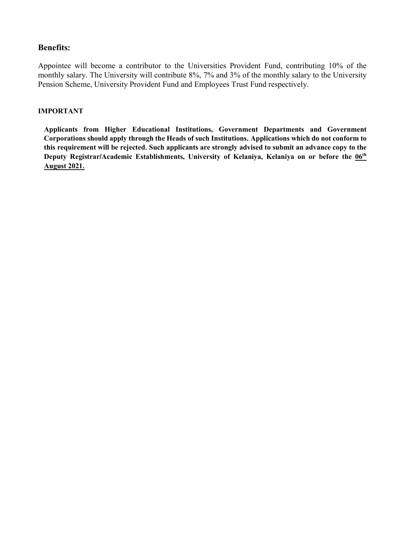## Benefits:

Appointee will become a contributor to the Universities Provident Fund, contributing 10% of the monthly salary. The University will contribute 8%, 7% and 3% of the monthly salary to the University Pension Scheme, University Provident Fund and Employees Trust Fund respectively.

## IMPORTANT

Applicants from Higher Educational Institutions, Government Departments and Government Corporations should apply through the Heads of such Institutions. Applications which do not conform to this requirement will be rejected. Such applicants are strongly advised to submit an advance copy to the Deputy Registrar/Academic Establishments, University of Kelaniya, Kelaniya on or before the  $06<sup>th</sup>$ August 2021.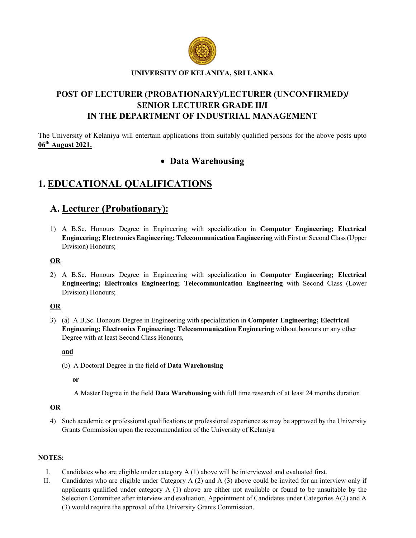

## UNIVERSITY OF KELANIYA, SRI LANKA

## POST OF LECTURER (PROBATIONARY)/LECTURER (UNCONFIRMED)/ SENIOR LECTURER GRADE II/I IN THE DEPARTMENT OF INDUSTRIAL MANAGEMENT

The University of Kelaniya will entertain applications from suitably qualified persons for the above posts upto  $06<sup>th</sup>$  August 2021.

## Data Warehousing

# 1. EDUCATIONAL QUALIFICATIONS

## A. Lecturer (Probationary):

1) A B.Sc. Honours Degree in Engineering with specialization in Computer Engineering; Electrical Engineering; Electronics Engineering; Telecommunication Engineering with First or Second Class (Upper Division) Honours;

## **OR**

2) A B.Sc. Honours Degree in Engineering with specialization in Computer Engineering; Electrical Engineering; Electronics Engineering; Telecommunication Engineering with Second Class (Lower Division) Honours;

## OR

3) (a) A B.Sc. Honours Degree in Engineering with specialization in Computer Engineering; Electrical Engineering; Electronics Engineering; Telecommunication Engineering without honours or any other Degree with at least Second Class Honours,

#### and

(b) A Doctoral Degree in the field of Data Warehousing

or

A Master Degree in the field Data Warehousing with full time research of at least 24 months duration

## OR

4) Such academic or professional qualifications or professional experience as may be approved by the University Grants Commission upon the recommendation of the University of Kelaniya

## NOTES:

- I. Candidates who are eligible under category A (1) above will be interviewed and evaluated first.
- II. Candidates who are eligible under Category A (2) and A (3) above could be invited for an interview only if applicants qualified under category A (1) above are either not available or found to be unsuitable by the Selection Committee after interview and evaluation. Appointment of Candidates under Categories A(2) and A (3) would require the approval of the University Grants Commission.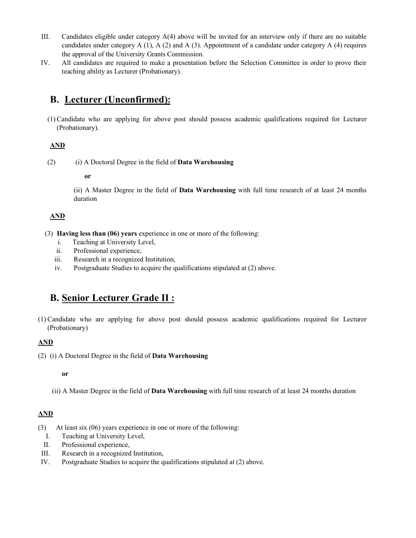- III. Candidates eligible under category A(4) above will be invited for an interview only if there are no suitable candidates under category  $A(1)$ ,  $A(2)$  and  $A(3)$ . Appointment of a candidate under category  $A(4)$  requires the approval of the University Grants Commission.
- IV. All candidates are required to make a presentation before the Selection Committee in order to prove their teaching ability as Lecturer (Probationary).

# B. Lecturer (Unconfirmed):

(1) Candidate who are applying for above post should possess academic qualifications required for Lecturer (Probationary).

## AND

(2) (i) A Doctoral Degree in the field of Data Warehousing

#### or

(ii) A Master Degree in the field of Data Warehousing with full time research of at least 24 months duration

## AND

- (3) Having less than (06) years experience in one or more of the following:
	- i. Teaching at University Level,
	- ii. Professional experience,
	- iii. Research in a recognized Institution,
	- iv. Postgraduate Studies to acquire the qualifications stipulated at (2) above.

## B. Senior Lecturer Grade II :

(1) Candidate who are applying for above post should possess academic qualifications required for Lecturer (Probationary)

## AND

(2) (i) A Doctoral Degree in the field of Data Warehousing

#### or

(ii) A Master Degree in the field of Data Warehousing with full time research of at least 24 months duration

## AND

- (3) At least six (06) years experience in one or more of the following:
- I. Teaching at University Level,
- II. Professional experience,
- III. Research in a recognized Institution,
- IV. Postgraduate Studies to acquire the qualifications stipulated at (2) above.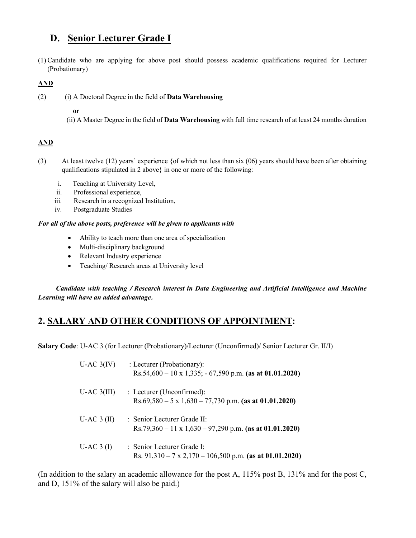# D. Senior Lecturer Grade I

(1) Candidate who are applying for above post should possess academic qualifications required for Lecturer (Probationary)

## AND

(2) (i) A Doctoral Degree in the field of Data Warehousing

## or

(ii) A Master Degree in the field of Data Warehousing with full time research of at least 24 months duration

## AND

- (3) At least twelve (12) years' experience {of which not less than six (06) years should have been after obtaining qualifications stipulated in 2 above} in one or more of the following:
	- i. Teaching at University Level,
	- ii. Professional experience,
	- iii. Research in a recognized Institution,
	- iv. Postgraduate Studies

## *For all of the above posts, preference will be given to applicants with*

- Ability to teach more than one area of specialization
- Multi-disciplinary background
- Relevant Industry experience
- Teaching/ Research areas at University level

*Candidate with teaching* / *Research interest in Data Engineering and Artificial Intelligence and Machine Learning will have an added advantage*.

## 2. SALARY AND OTHER CONDITIONS OF APPOINTMENT:

Salary Code: U-AC 3 (for Lecturer (Probationary)/Lecturer (Unconfirmed)/ Senior Lecturer Gr. II/I)

| $U$ -AC $3(IV)$ | : Lecturer (Probationary):<br>Rs.54,600 – 10 x 1,335; - 67,590 p.m. (as at 01.01.2020)                |
|-----------------|-------------------------------------------------------------------------------------------------------|
| $U-AC$ 3(III)   | : Lecturer (Unconfirmed):<br>$Rs.69,580 - 5 \times 1,630 - 77,730 \text{ p.m.}$ (as at 01.01.2020)    |
| $U-AC3$ (II)    | : Senior Lecturer Grade II:<br>Rs.79,360 – 11 x 1,630 – 97,290 p.m. (as at 01.01.2020)                |
| $U-AC3$ (I)     | : Senior Lecturer Grade I:<br>Rs. $91,310 - 7 \times 2,170 - 106,500 \text{ p.m.}$ (as at 01.01.2020) |

(In addition to the salary an academic allowance for the post A, 115% post B, 131% and for the post C, and D, 151% of the salary will also be paid.)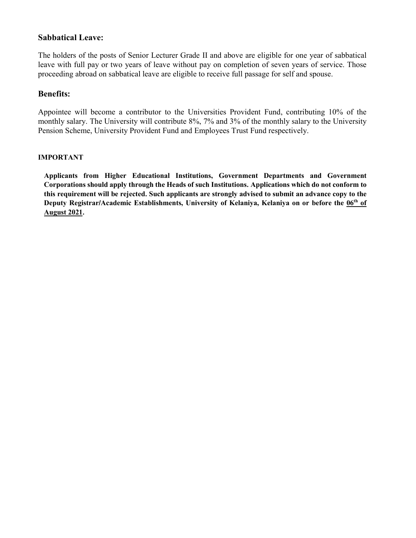## Sabbatical Leave:

The holders of the posts of Senior Lecturer Grade II and above are eligible for one year of sabbatical leave with full pay or two years of leave without pay on completion of seven years of service. Those proceeding abroad on sabbatical leave are eligible to receive full passage for self and spouse.

## Benefits:

Appointee will become a contributor to the Universities Provident Fund, contributing 10% of the monthly salary. The University will contribute 8%, 7% and 3% of the monthly salary to the University Pension Scheme, University Provident Fund and Employees Trust Fund respectively.

## IMPORTANT

Applicants from Higher Educational Institutions, Government Departments and Government Corporations should apply through the Heads of such Institutions. Applications which do not conform to this requirement will be rejected. Such applicants are strongly advised to submit an advance copy to the Deputy Registrar/Academic Establishments, University of Kelaniya, Kelaniya on or before the 06<sup>th</sup> of August 2021.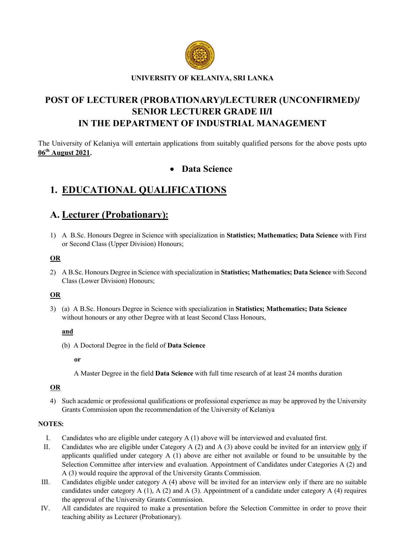

# POST OF LECTURER (PROBATIONARY)/LECTURER (UNCONFIRMED)/ SENIOR LECTURER GRADE II/I IN THE DEPARTMENT OF INDUSTRIAL MANAGEMENT

The University of Kelaniya will entertain applications from suitably qualified persons for the above posts upto 06th August 2021.

## Data Science

# 1. EDUCATIONAL QUALIFICATIONS

## A. Lecturer (Probationary):

1) A B.Sc. Honours Degree in Science with specialization in Statistics; Mathematics; Data Science with First or Second Class (Upper Division) Honours;

## OR

2) A B.Sc. Honours Degree in Science with specialization in Statistics; Mathematics; Data Science with Second Class (Lower Division) Honours;

## OR

3) (a) A B.Sc. Honours Degree in Science with specialization in Statistics; Mathematics; Data Science without honours or any other Degree with at least Second Class Honours,

## and

(b) A Doctoral Degree in the field of Data Science

or

A Master Degree in the field Data Science with full time research of at least 24 months duration

## OR

4) Such academic or professional qualifications or professional experience as may be approved by the University Grants Commission upon the recommendation of the University of Kelaniya

## NOTES:

- I. Candidates who are eligible under category A (1) above will be interviewed and evaluated first.
- II. Candidates who are eligible under Category A (2) and A (3) above could be invited for an interview only if applicants qualified under category A (1) above are either not available or found to be unsuitable by the Selection Committee after interview and evaluation. Appointment of Candidates under Categories A (2) and A (3) would require the approval of the University Grants Commission.
- III. Candidates eligible under category A (4) above will be invited for an interview only if there are no suitable candidates under category A  $(1)$ , A  $(2)$  and A  $(3)$ . Appointment of a candidate under category A  $(4)$  requires the approval of the University Grants Commission.
- IV. All candidates are required to make a presentation before the Selection Committee in order to prove their teaching ability as Lecturer (Probationary).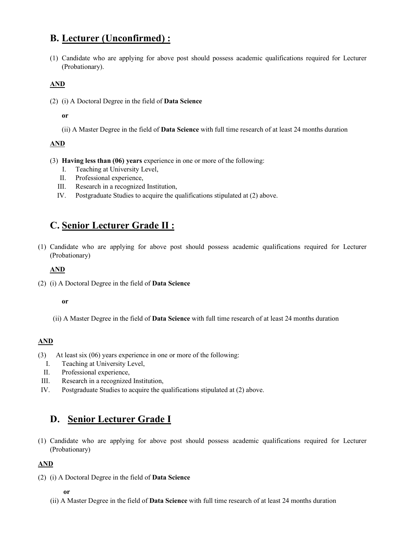# B. Lecturer (Unconfirmed) :

(1) Candidate who are applying for above post should possess academic qualifications required for Lecturer (Probationary).

## AND

(2) (i) A Doctoral Degree in the field of Data Science

or

(ii) A Master Degree in the field of Data Science with full time research of at least 24 months duration

## AND

- (3) Having less than (06) years experience in one or more of the following:
	- I. Teaching at University Level,
	- II. Professional experience,
	- III. Research in a recognized Institution,
	- IV. Postgraduate Studies to acquire the qualifications stipulated at (2) above.

## C. Senior Lecturer Grade II :

(1) Candidate who are applying for above post should possess academic qualifications required for Lecturer (Probationary)

## AND

(2) (i) A Doctoral Degree in the field of Data Science

## or

(ii) A Master Degree in the field of Data Science with full time research of at least 24 months duration

## AND

- (3) At least six (06) years experience in one or more of the following:
	- I. Teaching at University Level,
	- II. Professional experience,
- III. Research in a recognized Institution,
- IV. Postgraduate Studies to acquire the qualifications stipulated at (2) above.

# D. Senior Lecturer Grade I

(1) Candidate who are applying for above post should possess academic qualifications required for Lecturer (Probationary)

## AND

(2) (i) A Doctoral Degree in the field of Data Science

## or

(ii) A Master Degree in the field of Data Science with full time research of at least 24 months duration